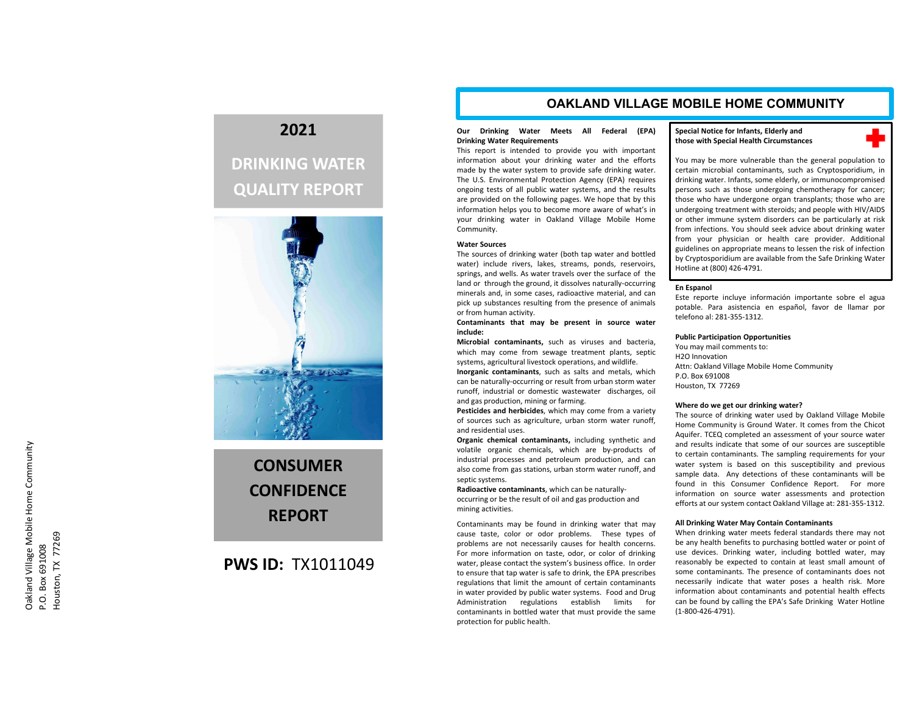# **2021**

# **DRINKING WATER QUALITY REPORT**



**CONSUMERCONFIDENCEREPORT**

# **PWS ID:** TX1011049

# **OAKLAND VILLAGE MOBILE HOME COMMUNITY**

### **Our Drinking Water Meets All Federal (EPA) Drinking Water Requirements**

This report is intended to provide you with important information about your drinking water and the efforts made by the water system to provide safe drinking water. The U.S. Environmental Protection Agency (EPA) requires ongoing tests of all public water systems, and the results are provided on the following pages. We hope that by this information helps you to become more aware of what's in your drinking water in Oakland Village Mobile Home Community.

#### **Water Sources**

The sources of drinking water (both tap water and bottled water) include rivers, lakes, streams, ponds, reservoirs, springs, and wells. As water travels over the surface of the land or through the ground, it dissolves naturally‐occurring minerals and, in some cases, radioactive material, and can pick up substances resulting from the presence of animals or from human activity.

**Contaminants that may be present in source water include:**

**Microbial contaminants,** such as viruses and bacteria, which may come from sewage treatment plants, septic systems, agricultural livestock operations, and wildlife.

**Inorganic contaminants**, such as salts and metals, which can be naturally‐occurring or result from urban storm water runoff, industrial or domestic wastewater discharges, oil and gas production, mining or farming.

**Pesticides and herbicides**, which may come from <sup>a</sup> variety of sources such as agriculture, urban storm water runoff, and residential uses.

**Organic chemical contaminants,** including synthetic and volatile organic chemicals, which are by‐products of industrial processes and petroleum production, and can also come from gas stations, urban storm water runoff, and septic systems.

**Radioactive contaminants**, which can be naturally‐ occurring or be the result of oil and gas production and mining activities.

Contaminants may be found in drinking water that may cause taste, color or odor problems. These types of problems are not necessarily causes for health concerns. For more information on taste, odor, or color of drinking water, please contact the system's business office. In order to ensure that tap water is safe to drink, the EPA prescribes regulations that limit the amount of certain contaminants in water provided by public water systems. Food and Drug Administration regulations establish limits for contaminants in bottled water that must provide the same protection for public health.

## **Special Notice for Infants, Elderly and those with Special Health Circumstances**

╋

You may be more vulnerable than the general population to certain microbial contaminants, such as Cryptosporidium, in drinking water. Infants, some elderly, or immunocompromised persons such as those undergoing chemotherapy for cancer; those who have undergone organ transplants; those who are undergoing treatment with steroids; and people with HIV/AIDS or other immune system disorders can be particularly at risk from infections. You should seek advice about drinking water from your physician or health care provider. Additional guidelines on appropriate means to lessen the risk of infection by Cryptosporidium are available from the Safe Drinking Water Hotline at (800) 426‐4791.

#### **En Espanol**

Este reporte incluye información importante sobre el agua potable. Para asistencia en español, favor de llamar por telefono al: 281‐355‐1312.

## **Public Participation Opportunities**

You may mail comments to: H2O InnovationAttn: Oakland Village Mobile Home Community P.O. Box 691008Houston, TX 77269

#### **Where do we get our drinking water?**

The source of drinking water used by Oakland Village Mobile Home Community is Ground Water. It comes from the Chicot Aquifer. TCEQ completed an assessment of your source water and results indicate that some of our sources are susceptible to certain contaminants. The sampling requirements for your water system is based on this susceptibility and previous sample data. Any detections of these contaminants will be found in this Consumer Confidence Report. For more information on source water assessments and protection efforts at our system contact Oakland Village at: 281‐355‐1312.

#### **All Drinking Water May Contain Contaminants**

When drinking water meets federal standards there may not be any health benefits to purchasing bottled water or point of use devices. Drinking water, including bottled water, may reasonably be expected to contain at least small amount of some contaminants. The presence of contaminants does not necessarily indicate that water poses <sup>a</sup> health risk. More information about contaminants and potential health effects can be found by calling the EPA's Safe Drinking Water Hotline (1‐800‐426‐4791).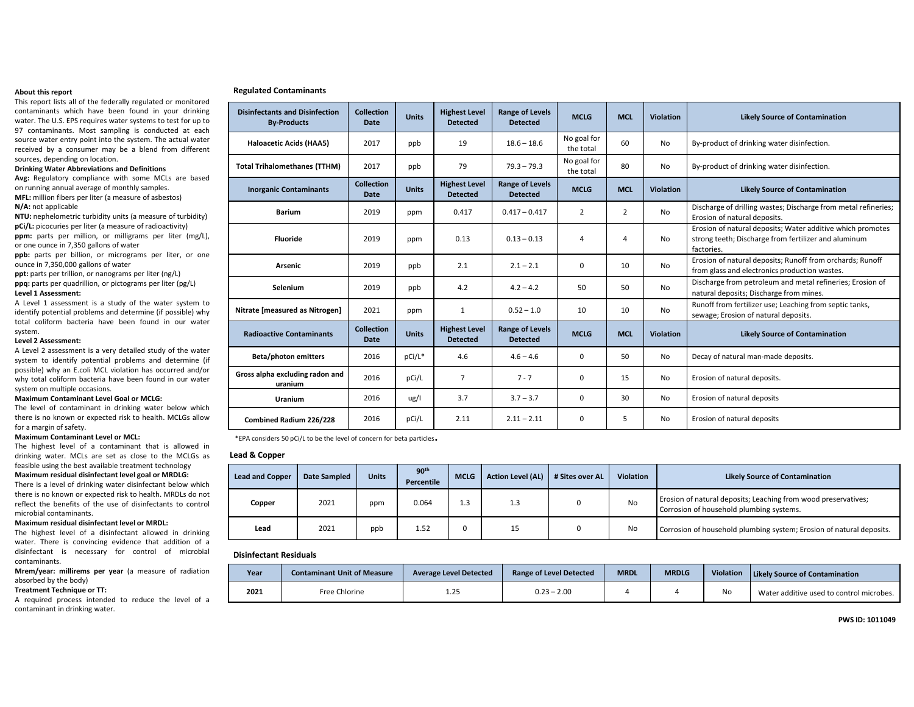#### **About this report**

This report lists all of the federally regulated or monitored contaminants which have been found in your drinking water. The U.S. EPS requires water systems to test for up to 97 contaminants. Most sampling is conducted at each source water entry point into the system. The actual water received by <sup>a</sup> consumer may be <sup>a</sup> blend from different sources, depending on location.

#### **Drinking Water Abbreviations and Definitions**

**Avg:** Regulatory compliance with some MCLs are based on running annual average of monthly samples. **MFL:** million fibers per liter (a measure of asbestos) **N/A:** not applicable

**NTU:** nephelometric turbidity units (a measure of turbidity) **pCi/L:** picocuries per liter (a measure of radioactivity) **ppm:** parts per million, or milligrams per liter (mg/L), or one ounce in 7,350 gallons of water

**ppb:** parts per billion, or micrograms per liter, or one ounce in 7,350,000 gallons of water

**ppt:** parts per trillion, or nanograms per liter (ng/L) **ppq:** parts per quadrillion, or pictograms per liter (pg/L) **Level 1 Assessment:**

A Level 1 assessment is <sup>a</sup> study of the water system to identify potential problems and determine (if possible) why total coliform bacteria have been found in our water system.

#### **Level 2 Assessment:**

A Level 2 assessment is <sup>a</sup> very detailed study of the water system to identify potential problems and determine (if possible) why an E.coli MCL violation has occurred and/or why total coliform bacteria have been found in our water system on multiple occasions.

#### **Maximum Contaminant Level Goal or MCLG:**

 The level of contaminant in drinking water below which there is no known or expected risk to health. MCLGs allow for <sup>a</sup> margin of safety.

#### **Maximum Contaminant Level or MCL:**

The highest level of <sup>a</sup> contaminant that is allowed in drinking water. MCLs are set as close to the MCLGs as feasible using the best available treatment technology

#### **Maximum residual disinfectant level goal or MRDLG:**

There is <sup>a</sup> level of drinking water disinfectant below which there is no known or expected risk to health. MRDLs do not reflect the benefits of the use of disinfectants to control microbial contaminants.

#### **Maximum residual disinfectant level or MRDL:**

The highest level of <sup>a</sup> disinfectant allowed in drinking water. There is convincing evidence that addition of <sup>a</sup> disinfectant is necessary for control of microbial contaminants.

#### **Mrem/year: millirems per year** (a measure of radiation absorbed by the body)

#### **Treatment Technique or TT:**

A required process intended to reduce the level of <sup>a</sup> contaminant in drinking water.

| <b>Disinfectants and Disinfection</b><br><b>By-Products</b> | <b>Collection</b><br>Date        | <b>Units</b> | <b>Highest Level</b><br><b>Detected</b> | <b>Range of Levels</b><br><b>Detected</b> | <b>MCLG</b>              | <b>MCL</b> | <b>Violation</b> | <b>Likely Source of Contamination</b>                                                                                            |
|-------------------------------------------------------------|----------------------------------|--------------|-----------------------------------------|-------------------------------------------|--------------------------|------------|------------------|----------------------------------------------------------------------------------------------------------------------------------|
| Haloacetic Acids (HAA5)                                     | 2017                             | ppb          | 19                                      | $18.6 - 18.6$                             | No goal for<br>the total | 60         | No               | By-product of drinking water disinfection.                                                                                       |
| <b>Total Trihalomethanes (TTHM)</b>                         | 2017                             | ppb          | 79                                      | $79.3 - 79.3$                             | No goal for<br>the total | 80         | No               | By-product of drinking water disinfection.                                                                                       |
| <b>Inorganic Contaminants</b>                               | <b>Collection</b><br><b>Date</b> | <b>Units</b> | <b>Highest Level</b><br><b>Detected</b> | <b>Range of Levels</b><br><b>Detected</b> | <b>MCLG</b>              | <b>MCL</b> | <b>Violation</b> | <b>Likely Source of Contamination</b>                                                                                            |
| <b>Barium</b>                                               | 2019                             | ppm          | 0.417                                   | $0.417 - 0.417$                           | $\overline{2}$           | 2          | No               | Discharge of drilling wastes; Discharge from metal refineries;<br>Erosion of natural deposits.                                   |
| <b>Fluoride</b>                                             | 2019                             | ppm          | 0.13                                    | $0.13 - 0.13$                             | 4                        | 4          | No               | Erosion of natural deposits; Water additive which promotes<br>strong teeth; Discharge from fertilizer and aluminum<br>factories. |
| Arsenic                                                     | 2019                             | ppb          | 2.1                                     | $2.1 - 2.1$                               | 0                        | 10         | <b>No</b>        | Erosion of natural deposits; Runoff from orchards; Runoff<br>from glass and electronics production wastes.                       |
| <b>Selenium</b>                                             | 2019                             | ppb          | 4.2                                     | $4.2 - 4.2$                               | 50                       | 50         | No               | Discharge from petroleum and metal refineries; Erosion of<br>natural deposits; Discharge from mines.                             |
| Nitrate [measured as Nitrogen]                              | 2021                             | ppm          | $\mathbf{1}$                            | $0.52 - 1.0$                              | 10                       | 10         | No               | Runoff from fertilizer use; Leaching from septic tanks,<br>sewage; Erosion of natural deposits.                                  |
| <b>Radioactive Contaminants</b>                             | <b>Collection</b><br><b>Date</b> | <b>Units</b> | <b>Highest Level</b><br><b>Detected</b> | <b>Range of Levels</b><br><b>Detected</b> | <b>MCLG</b>              | <b>MCL</b> | <b>Violation</b> | <b>Likely Source of Contamination</b>                                                                                            |
| <b>Beta/photon emitters</b>                                 | 2016                             | pCi/L*       | 4.6                                     | $4.6 - 4.6$                               | 0                        | 50         | No               | Decay of natural man-made deposits.                                                                                              |
| Gross alpha excluding radon and<br>uranium                  | 2016                             | pCi/L        | $\overline{7}$                          | $7 - 7$                                   | $\mathbf 0$              | 15         | <b>No</b>        | Erosion of natural deposits.                                                                                                     |
| <b>Uranium</b>                                              | 2016                             | ug/I         | 3.7                                     | $3.7 - 3.7$                               | $\mathbf 0$              | 30         | No               | Erosion of natural deposits                                                                                                      |
| Combined Radium 226/228                                     | 2016                             | pCi/L        | 2.11                                    | $2.11 - 2.11$                             | $\mathbf 0$              | 5          | No               | Erosion of natural deposits                                                                                                      |

\*EPA considers 50 pCi/L to be the level of concern for beta particles.

### **Lead& Copper**

**Regulated Contaminants**

| <b>Lead and Copper</b> | <b>Date Sampled</b> | <b>Units</b> | 90 <sup>th</sup><br>Percentile | <b>MCLG</b> | <b>Action Level (AL)</b> | # Sites over AL | <b>Violation</b> | <b>Likely Source of Contamination</b>                                                                      |
|------------------------|---------------------|--------------|--------------------------------|-------------|--------------------------|-----------------|------------------|------------------------------------------------------------------------------------------------------------|
| Copper                 | 2021                | ppm          | 0.064                          | 1.3         | 1.3                      |                 | <b>No</b>        | Erosion of natural deposits; Leaching from wood preservatives;<br>Corrosion of household plumbing systems. |
| Lead                   | 2021                | ppb          | 1.52                           |             | 15                       |                 | <b>No</b>        | Corrosion of household plumbing system; Erosion of natural deposits.                                       |

#### **Disinfectant Residuals**

| Year | <b>Contaminant Unit of Measure</b> | <b>Average Level Detected</b> | <b>Range of Level Detected</b> | <b>MRDI</b> | <b>MRDLG</b> | <b>Violation</b> | <b>Likely Source of Contamination</b>    |
|------|------------------------------------|-------------------------------|--------------------------------|-------------|--------------|------------------|------------------------------------------|
| 2021 | Free Chlorine                      | 1.25                          | $0.23 - 2.00$                  |             |              | No               | Water additive used to control microbes. |